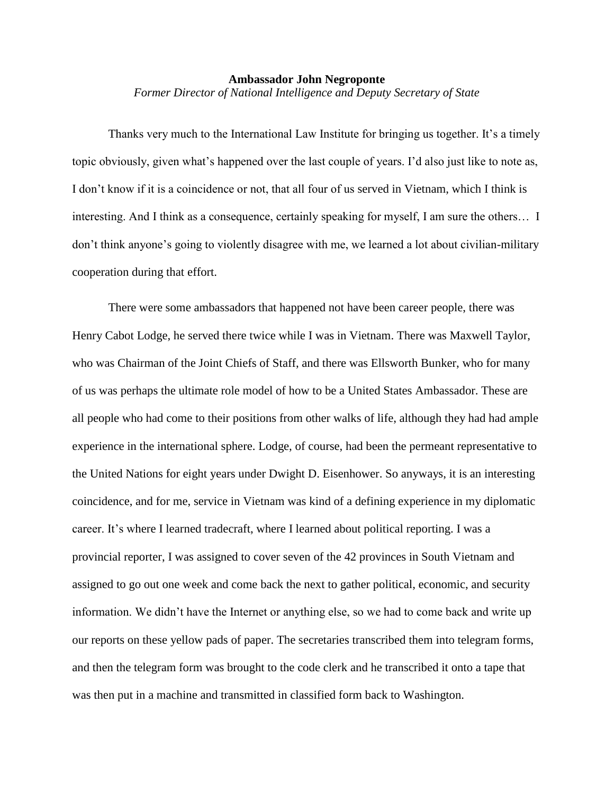## **Ambassador John Negroponte** *Former Director of National Intelligence and Deputy Secretary of State*

Thanks very much to the International Law Institute for bringing us together. It's a timely topic obviously, given what's happened over the last couple of years. I'd also just like to note as, I don't know if it is a coincidence or not, that all four of us served in Vietnam, which I think is interesting. And I think as a consequence, certainly speaking for myself, I am sure the others… I don't think anyone's going to violently disagree with me, we learned a lot about civilian-military cooperation during that effort.

There were some ambassadors that happened not have been career people, there was Henry Cabot Lodge, he served there twice while I was in Vietnam. There was Maxwell Taylor, who was Chairman of the Joint Chiefs of Staff, and there was Ellsworth Bunker, who for many of us was perhaps the ultimate role model of how to be a United States Ambassador. These are all people who had come to their positions from other walks of life, although they had had ample experience in the international sphere. Lodge, of course, had been the permeant representative to the United Nations for eight years under Dwight D. Eisenhower. So anyways, it is an interesting coincidence, and for me, service in Vietnam was kind of a defining experience in my diplomatic career. It's where I learned tradecraft, where I learned about political reporting. I was a provincial reporter, I was assigned to cover seven of the 42 provinces in South Vietnam and assigned to go out one week and come back the next to gather political, economic, and security information. We didn't have the Internet or anything else, so we had to come back and write up our reports on these yellow pads of paper. The secretaries transcribed them into telegram forms, and then the telegram form was brought to the code clerk and he transcribed it onto a tape that was then put in a machine and transmitted in classified form back to Washington.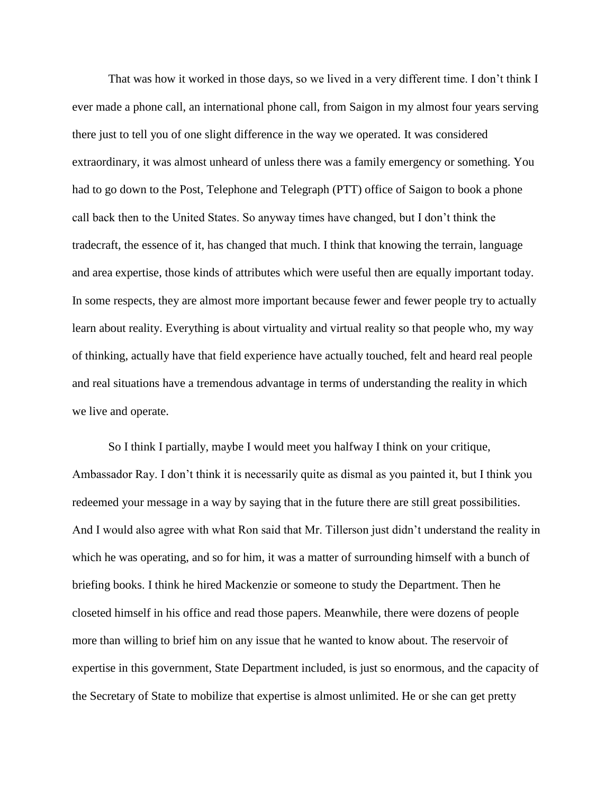That was how it worked in those days, so we lived in a very different time. I don't think I ever made a phone call, an international phone call, from Saigon in my almost four years serving there just to tell you of one slight difference in the way we operated. It was considered extraordinary, it was almost unheard of unless there was a family emergency or something. You had to go down to the Post, Telephone and Telegraph (PTT) office of Saigon to book a phone call back then to the United States. So anyway times have changed, but I don't think the tradecraft, the essence of it, has changed that much. I think that knowing the terrain, language and area expertise, those kinds of attributes which were useful then are equally important today. In some respects, they are almost more important because fewer and fewer people try to actually learn about reality. Everything is about virtuality and virtual reality so that people who, my way of thinking, actually have that field experience have actually touched, felt and heard real people and real situations have a tremendous advantage in terms of understanding the reality in which we live and operate.

So I think I partially, maybe I would meet you halfway I think on your critique, Ambassador Ray. I don't think it is necessarily quite as dismal as you painted it, but I think you redeemed your message in a way by saying that in the future there are still great possibilities. And I would also agree with what Ron said that Mr. Tillerson just didn't understand the reality in which he was operating, and so for him, it was a matter of surrounding himself with a bunch of briefing books. I think he hired Mackenzie or someone to study the Department. Then he closeted himself in his office and read those papers. Meanwhile, there were dozens of people more than willing to brief him on any issue that he wanted to know about. The reservoir of expertise in this government, State Department included, is just so enormous, and the capacity of the Secretary of State to mobilize that expertise is almost unlimited. He or she can get pretty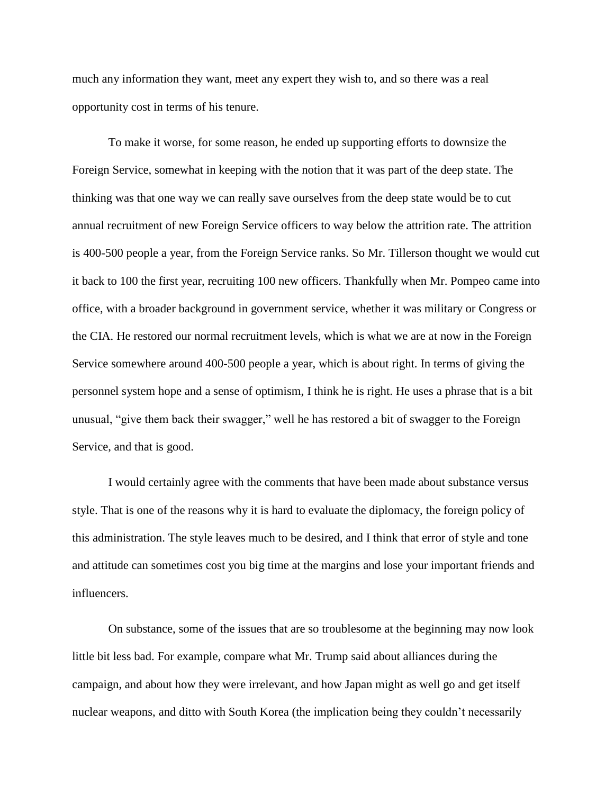much any information they want, meet any expert they wish to, and so there was a real opportunity cost in terms of his tenure.

To make it worse, for some reason, he ended up supporting efforts to downsize the Foreign Service, somewhat in keeping with the notion that it was part of the deep state. The thinking was that one way we can really save ourselves from the deep state would be to cut annual recruitment of new Foreign Service officers to way below the attrition rate. The attrition is 400-500 people a year, from the Foreign Service ranks. So Mr. Tillerson thought we would cut it back to 100 the first year, recruiting 100 new officers. Thankfully when Mr. Pompeo came into office, with a broader background in government service, whether it was military or Congress or the CIA. He restored our normal recruitment levels, which is what we are at now in the Foreign Service somewhere around 400-500 people a year, which is about right. In terms of giving the personnel system hope and a sense of optimism, I think he is right. He uses a phrase that is a bit unusual, "give them back their swagger," well he has restored a bit of swagger to the Foreign Service, and that is good.

I would certainly agree with the comments that have been made about substance versus style. That is one of the reasons why it is hard to evaluate the diplomacy, the foreign policy of this administration. The style leaves much to be desired, and I think that error of style and tone and attitude can sometimes cost you big time at the margins and lose your important friends and influencers.

On substance, some of the issues that are so troublesome at the beginning may now look little bit less bad. For example, compare what Mr. Trump said about alliances during the campaign, and about how they were irrelevant, and how Japan might as well go and get itself nuclear weapons, and ditto with South Korea (the implication being they couldn't necessarily